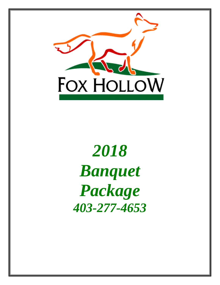

# *2018 Banquet Package 403-277-4653*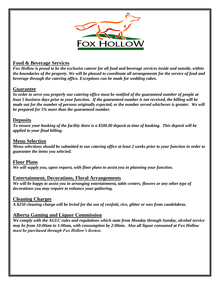

# **Food & Beverage Services**

*Fox Hollow is proud to be the exclusive caterer for all food and beverage services inside and outside, within the boundaries of the property. We will be pleased to coordinate all arrangements for the service of food and beverage through the catering office. Exceptions can be made for wedding cakes.*

# **Guarantee**

*In order to serve you properly our catering office must be notified of the guaranteed number of people at least 5 business days prior to your function. If the guaranteed number is not received, the billing will be made out for the number of persons originally expected, or the number served whichever is greater. We will be prepared for 5% more than the guaranteed number.*

# **Deposits**

*To ensure your booking of the facility there is a \$500.00 deposit at time of booking. This deposit will be applied to your final billing.*

# **Menu Selection**

*Menu selections should be submitted to our catering office at least 2 weeks prior to your function in order to guarantee the items you selected.*

**Floor Plans** *We will supply you, upon request, with floor plans to assist you in planning your function.*

# **Entertainment, Decorations, Floral Arrangements**

*We will be happy to assist you in arranging entertainment, table centers, flowers or any other type of decorations you may require to enhance your gathering.*

# **Cleaning Charges**

*A \$250 cleaning charge will be levied for the use of confetti, rice, glitter or wax from candelabras.*

# **Alberta Gaming and Liquor Commission**

*We comply with the AGLC rules and regulations which state from Monday through Sunday, alcohol service may be from 10:00am to 1:00am, with consumption by 2:00am. Also all liquor consumed at Fox Hollow must be purchased through Fox Hollow's license.*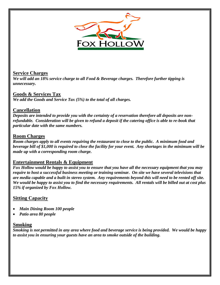

# **Service Charges**

*We will add an 18% service charge to all Food & Beverage charges. Therefore further tipping is unnecessary.*

# **Goods & Services Tax**

*We add the Goods and Service Tax (5%) to the total of all charges.*

# **Cancellation**

*Deposits are intended to provide you with the certainty of a reservation therefore all deposits are nonrefundable. Consideration will be given to refund a deposit if the catering office is able to re-book that particular date with the same numbers.*

# **Room Charges**

*Room charges apply to all events requiring the restaurant to close to the public. A minimum food and beverage bill of \$1,000 is required to close the facility for your event. Any shortages in the minimum will be made up with a corresponding room charge.*

# **Entertainment Rentals & Equipment**

*Fox Hollow would be happy to assist you to ensure that you have all the necessary equipment that you may require to host a successful business meeting or training seminar. On site we have several televisions that are media capable and a built in stereo system. Any requirements beyond this will need to be rented off site. We would be happy to assist you to find the necessary requirements. All rentals will be billed out at cost plus 15% if organized by Fox Hollow.*

# **Sitting Capacity**

- *Main Dining Room 100 people*
- *Patio area 80 people*

# **Smoking**

*Smoking is not permitted in any area where food and beverage service is being provided. We would be happy to assist you in ensuring your guests have an area to smoke outside of the building.*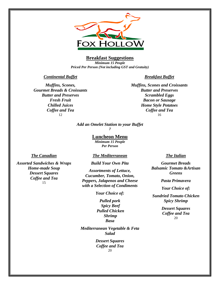

# **Breakfast Suggestions**

*Minimum 15 People Priced Per Person (Not including GST and Gratuity)*

#### *Continental Buffet*

*Muffins, Scones, Gourmet Breads & Croissants Butter and Preserves Fresh Fruit Chilled Juices Coffee and Tea* 12

#### *Breakfast Buffet*

*Muffins, Scones and Croissants Butter and Preserves Scrambled Eggs Bacon or Sausage Home Style Potatoes Coffee and Tea* 16

# *Add an Omelet Station to your Buffet*

*7*

#### **Luncheon Menu**

*Minimum 15 People Per Person*

#### *The Canadian*

#### *The Mediterranean*

*Assorted Sandwiches & Wraps Home-made Soup Dessert Squares Coffee and Tea* 15

# *Build Your Own Pita*

*Assortments of Lettuce, Cucumber, Tomato, Onion, Peppers, Jalapenos and Cheese with a Selection of Condiments*

*Your Choice of:* 

*Pulled pork Spicy Beef Pulled Chicken Shrimp Basa*

*Mediterranean Vegetable & Feta Salad*

> *Dessert Squares Coffee and Tea* 20

#### *The Italian*

*Gourmet Breads Balsamic Tomato &Artisan Greens* 

*Pasta Primavera*

*Your Choice of:*

*Sundried Tomato Chicken Spicy Shrimp*

> *Dessert Squares Coffee and Tea* 20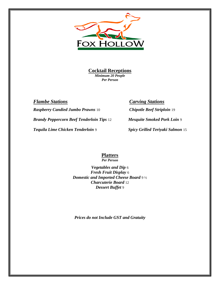

**Cocktail Receptions**

*Minimum 20 People Per Person*

*Flambe Stations Carving Stations Raspberry Candied Jumbo Prawns* 10 *Chipotle Beef Striploin* 19 *Brandy Peppercorn Beef Tenderloin Tips* 12 *Mesquite Smoked Pork Loin* 9 *Tequila Lime Chicken Tenderloin* 9 *Spicy Grilled Teriyaki Salmon* 15

# **Platters**

*Per Person*

*Vegetables and Dip* 6 *Fresh Fruit Display* 6 *Domestic and Imported Cheese Board* 9 ½ *Charcuterie Board* 12 *Dessert Buffet* 9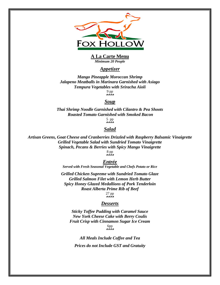

#### **A La Carte Menu** *Minimum 20 People*

### *Appetizer*

*Mango Pineapple Moroccan Shrimp Jalapeno Meatballs in Marinara Garnished with Asiago Tempura Vegetables with Sriracha Aioli*  9 pp

\*\*\*\*

#### *Soup*

*Thai Shrimp Noodle Garnished with Cilantro & Pea Shoots Roasted Tomato Garnished with Smoked Bacon*

 $5$  pp<br>\*\*\*\*

# *Salad*

*Artisan Greens, Goat Cheese and Cranberries Drizzled with Raspberry Balsamic Vinaigrette Grilled Vegetable Salad with Sundried Tomato Vinaigrette Spinach, Pecans & Berries with Spicy Mango Vinaigrette* 8 pp

\*\*\*\*

*Entrée Served with Fresh Seasonal Vegetable and Chefs Potato or Rice*

*Grilled Chicken Supreme with Sundried Tomato Glaze Grilled Salmon Filet with Lemon Herb Butter Spicy Honey Glazed Medallions of Pork Tenderloin Roast Alberta Prime Rib of Beef* 27 pp

\*\*\*\*

#### *Desserts*

*Sticky Toffee Pudding with Caramel Sauce New York Cheese Cake with Berry Coulis Fruit Crisp with Cinnamon Sugar Ice Cream* 6pp

*All Meals Include Coffee and Tea Prices do not Include GST and Gratuity*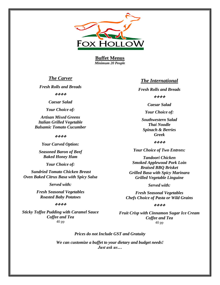

**Buffet Menus** *Minimum 20 People*

# *The Carver*

*Fresh Rolls and Breads*

\*\*\*\*

*Caesar Salad*

*Your Choice of:*

*Artisan Mixed Greens Italian Grilled Vegetable Balsamic Tomato Cucumber*

#### \*\*\*\*

*Your Carved Option:*

*Seasoned Baron of Beef Baked Honey Ham*

*Your Choice of:*

*Sundried Tomato Chicken Breast Oven Baked Citrus Basa with Spicy Salsa*

*Served with:*

*Fresh Seasonal Vegetables Roasted Baby Potatoes*

#### \*\*\*\*

*Sticky Toffee Pudding with Caramel Sauce Coffee and Tea* 40 pp

#### *The International*

*Fresh Rolls and Breads*

\*\*\*\*

*Caesar Salad*

*Your Choice of:*

*Southwestern Salad Thai Noodle Spinach & Berries Greek*

\*\*\*\*

*Your Choice of Two Entrees:*

*Tandoori Chicken Smoked Applewood Pork Loin Braised BBQ Brisket Grilled Basa with Spicy Marinara Grilled Vegetable Linguine*

*Served with:*

*Fresh Seasonal Vegetables Chefs Choice of Pasta or Wild Grains*

#### やややや

*Fruit Crisp with Cinnamon Sugar Ice Cream Coffee and Tea* 40 pp

#### *Prices do not Include GST and Gratuity*

*We can customize a buffet to your dietary and budget needs! Just ask us…*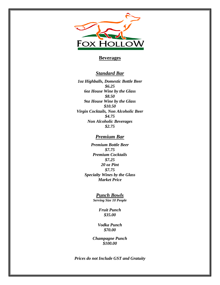

# **Beverages**

# *Standard Bar*

*1oz Highballs, Domestic Bottle Beer \$6.25 6oz House Wine by the Glass \$8.50 9oz House Wine by the Glass \$10.50 Virgin Cocktails, Non Alcoholic Beer \$4.75 Non Alcoholic Beverages \$2.75*

# *Premium Bar*

*Premium Bottle Beer \$7.75 Premium Cocktails \$7.25 20 oz Pint \$7.75 Specialty Wines by the Glass Market Price*

> *Punch Bowls Serving Size 10 People*

> > *Fruit Punch \$35.00*

*Vodka Punch \$70.00*

*Champagne Punch \$100.00*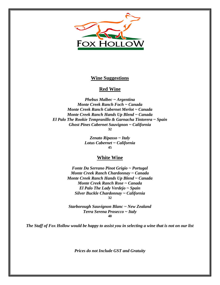

## **Wine Suggestions**

# **Red Wine**

*Phebus Malbec ~ Argentina Monte Creek Ranch Foch ~ Canada Monte Creek Ranch Cabernet Merlot ~ Canada Monte Creek Ranch Hands Up Blend ~ Canada El Palo The Rookie Tempranillo & Garnacha Tintorera ~ Spain Ghost Pines Cabernet Sauvignon ~ California* **32**

> *Zenato Ripasso ~ Italy Lotus Cabernet ~ California* **45**

#### **White Wine**

*Fonte Da Serrano Pinot Grigio ~ Portugal Monte Creek Ranch Chardonnay ~ Canada Monte Creek Ranch Hands Up Blend ~ Canada Monte Creek Ranch Rose ~ Canada El Palo The Lady Verdejo ~ Spain Silver Buckle Chardonnay ~ California* **32**

*Starborough Sauvignon Blanc ~ New Zealand Terra Serena Prosecco ~ Italy* **40**

*The Staff of Fox Hollow would be happy to assist you in selecting a wine that is not on our list*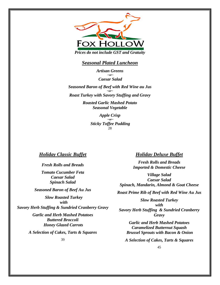

*Prices do not include GST and Gratuity*

# *Seasonal Plated Luncheon*

*Artisan Greens ~or~ Caesar Salad*

*Seasoned Baron of Beef with Red Wine au Jus ~or~ Roast Turkey with Savory Stuffing and Gravy*

> *Roasted Garlic Mashed Potato Seasonal Vegetable*

> > *Apple Crisp ~or~ Sticky Toffee Pudding* 28

# *Holiday Classic Buffet*

*Fresh Rolls and Breads*

*Tomato Cucumber Feta Caesar Salad Spinach Salad*

*Seasoned Baron of Beef Au Jus*

*Slow Roasted Turkey with*

*Savory Herb Stuffing & Sundried Cranberry Gravy*

*Garlic and Herb Mashed Potatoes Buttered Broccoli Honey Glazed Carrots*

*A Selection of Cakes, Tarts & Squares*

39

# *Holiday Deluxe Buffet*

*Fresh Rolls and Breads Imported & Domestic Cheese*

*Village Salad Caesar Salad Spinach, Mandarin, Almond & Goat Cheese*

*Roast Prime Rib of Beef with Red Wine Au Jus*

*Slow Roasted Turkey with Savory Herb Stuffing & Sundried Cranberry Gravy*

*Garlic and Herb Mashed Potatoes Caramelized Butternut Squash Brussel Sprouts with Bacon & Onion*

*A Selection of Cakes, Tarts & Squares*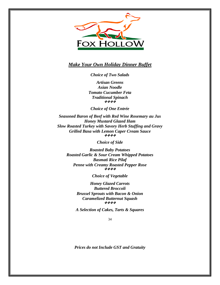

# *Make Your Own Holiday Dinner Buffet*

*Choice of Two Salads*

*Artisan Greens Asian Noodle Tomato Cucumber Feta Traditional Spinach* 经营费贷

*Choice of One Entrée*

*Seasoned Baron of Beef with Red Wine Rosemary au Jus Honey Mustard Glazed Ham Slow Roasted Turkey with Savory Herb Stuffing and Gravy Grilled Basa with Lemon Caper Cream Sauce* \*\*\*\*

*Choice of Side*

*Roasted Baby Potatoes Roasted Garlic & Sour Cream Whipped Potatoes Basmati Rice Pilaf Penne with Creamy Roasted Pepper Rose* 感染感染

*Choice of Vegetable*

*Honey Glazed Carrots Buttered Broccoli Brussel Sprouts with Bacon & Onion Caramelized Butternut Squash* \*\*\*\*

*A Selection of Cakes, Tarts & Squares*

34